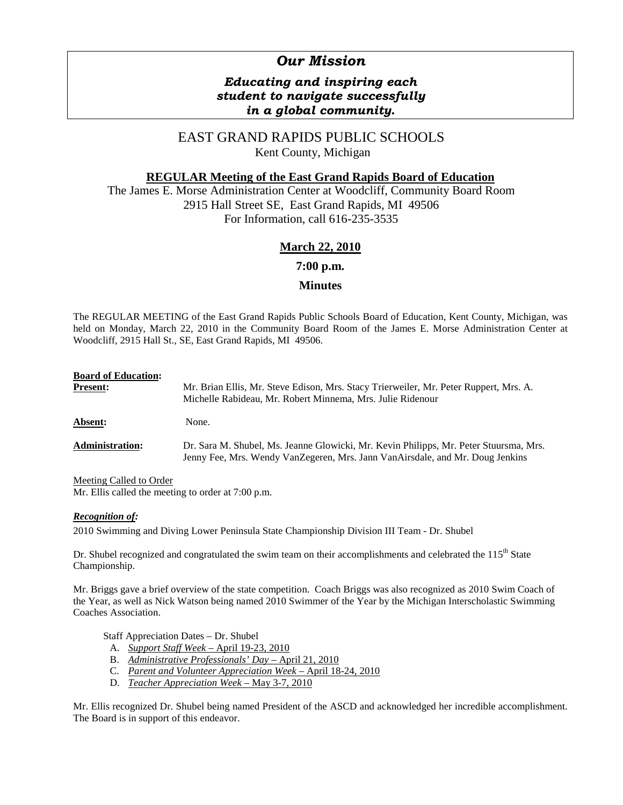# *Our Mission*

# *Educating and inspiring each student to navigate successfully in a global community.*

# EAST GRAND RAPIDS PUBLIC SCHOOLS Kent County, Michigan

# **REGULAR Meeting of the East Grand Rapids Board of Education**

The James E. Morse Administration Center at Woodcliff, Community Board Room 2915 Hall Street SE, East Grand Rapids, MI 49506 For Information, call 616-235-3535

# **March 22, 2010**

**7:00 p.m.**

## **Minutes**

The REGULAR MEETING of the East Grand Rapids Public Schools Board of Education, Kent County, Michigan, was held on Monday, March 22, 2010 in the Community Board Room of the James E. Morse Administration Center at Woodcliff, 2915 Hall St., SE, East Grand Rapids, MI 49506.

| <b>Board of Education:</b><br><b>Present:</b> | Mr. Brian Ellis, Mr. Steve Edison, Mrs. Stacy Trierweiler, Mr. Peter Ruppert, Mrs. A.<br>Michelle Rabideau, Mr. Robert Minnema, Mrs. Julie Ridenour                    |  |
|-----------------------------------------------|------------------------------------------------------------------------------------------------------------------------------------------------------------------------|--|
| Absent:                                       | None.                                                                                                                                                                  |  |
| <b>Administration:</b>                        | Dr. Sara M. Shubel, Ms. Jeanne Glowicki, Mr. Kevin Philipps, Mr. Peter Stuursma, Mrs.<br>Jenny Fee, Mrs. Wendy VanZegeren, Mrs. Jann VanAirsdale, and Mr. Doug Jenkins |  |

Meeting Called to Order

Mr. Ellis called the meeting to order at 7:00 p.m.

## *Recognition of:*

2010 Swimming and Diving Lower Peninsula State Championship Division III Team - Dr. Shubel

Dr. Shubel recognized and congratulated the swim team on their accomplishments and celebrated the 115<sup>th</sup> State Championship.

Mr. Briggs gave a brief overview of the state competition. Coach Briggs was also recognized as 2010 Swim Coach of the Year, as well as Nick Watson being named 2010 Swimmer of the Year by the Michigan Interscholastic Swimming Coaches Association.

Staff Appreciation Dates – Dr. Shubel

- A. *Support Staff Week*  April 19-23, 2010
- B. *Administrative Professionals' Day* April 21, 2010
- C. *Parent and Volunteer Appreciation Week* April 18-24, 2010
- D. *Teacher Appreciation Week* May 3-7, 2010

Mr. Ellis recognized Dr. Shubel being named President of the ASCD and acknowledged her incredible accomplishment. The Board is in support of this endeavor.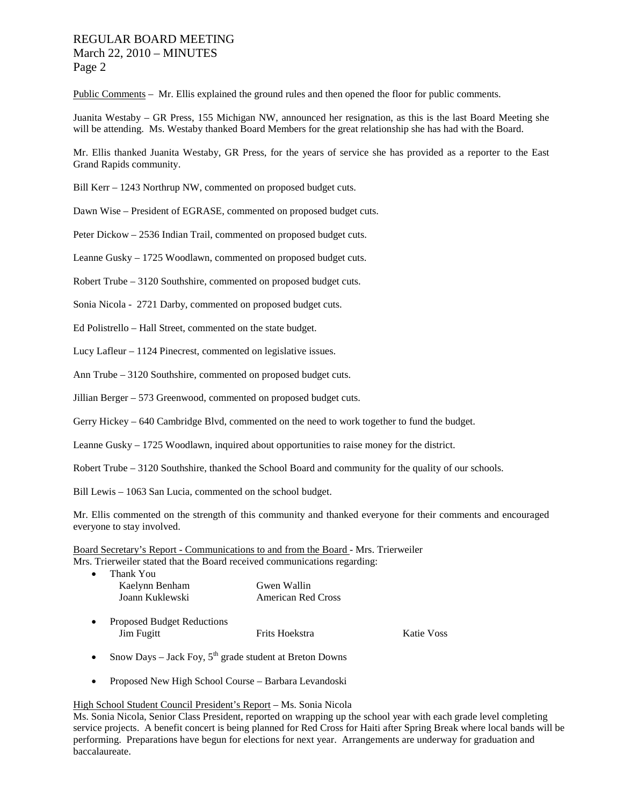# REGULAR BOARD MEETING March 22, 2010 – MINUTES Page 2

Public Comments – Mr. Ellis explained the ground rules and then opened the floor for public comments.

Juanita Westaby – GR Press, 155 Michigan NW, announced her resignation, as this is the last Board Meeting she will be attending. Ms. Westaby thanked Board Members for the great relationship she has had with the Board.

Mr. Ellis thanked Juanita Westaby, GR Press, for the years of service she has provided as a reporter to the East Grand Rapids community.

Bill Kerr – 1243 Northrup NW, commented on proposed budget cuts.

Dawn Wise – President of EGRASE, commented on proposed budget cuts.

Peter Dickow – 2536 Indian Trail, commented on proposed budget cuts.

Leanne Gusky – 1725 Woodlawn, commented on proposed budget cuts.

Robert Trube – 3120 Southshire, commented on proposed budget cuts.

Sonia Nicola - 2721 Darby, commented on proposed budget cuts.

Ed Polistrello – Hall Street, commented on the state budget.

Lucy Lafleur – 1124 Pinecrest, commented on legislative issues.

Ann Trube – 3120 Southshire, commented on proposed budget cuts.

Jillian Berger – 573 Greenwood, commented on proposed budget cuts.

Gerry Hickey – 640 Cambridge Blvd, commented on the need to work together to fund the budget.

Leanne Gusky – 1725 Woodlawn, inquired about opportunities to raise money for the district.

Robert Trube – 3120 Southshire, thanked the School Board and community for the quality of our schools.

Bill Lewis – 1063 San Lucia, commented on the school budget.

Mr. Ellis commented on the strength of this community and thanked everyone for their comments and encouraged everyone to stay involved.

Board Secretary's Report - Communications to and from the Board - Mrs. Trierweiler Mrs. Trierweiler stated that the Board received communications regarding:

| $\bullet$ | Thank You       |                           |
|-----------|-----------------|---------------------------|
|           | Kaelynn Benham  | Gwen Wallin               |
|           | Joann Kuklewski | <b>American Red Cross</b> |

- Proposed Budget Reductions Jim Fugitt Frits Hoekstra Katie Voss
- Snow Days Jack Foy,  $5<sup>th</sup>$  grade student at Breton Downs
- Proposed New High School Course Barbara Levandoski

#### High School Student Council President's Report – Ms. Sonia Nicola

Ms. Sonia Nicola, Senior Class President, reported on wrapping up the school year with each grade level completing service projects. A benefit concert is being planned for Red Cross for Haiti after Spring Break where local bands will be performing. Preparations have begun for elections for next year. Arrangements are underway for graduation and baccalaureate.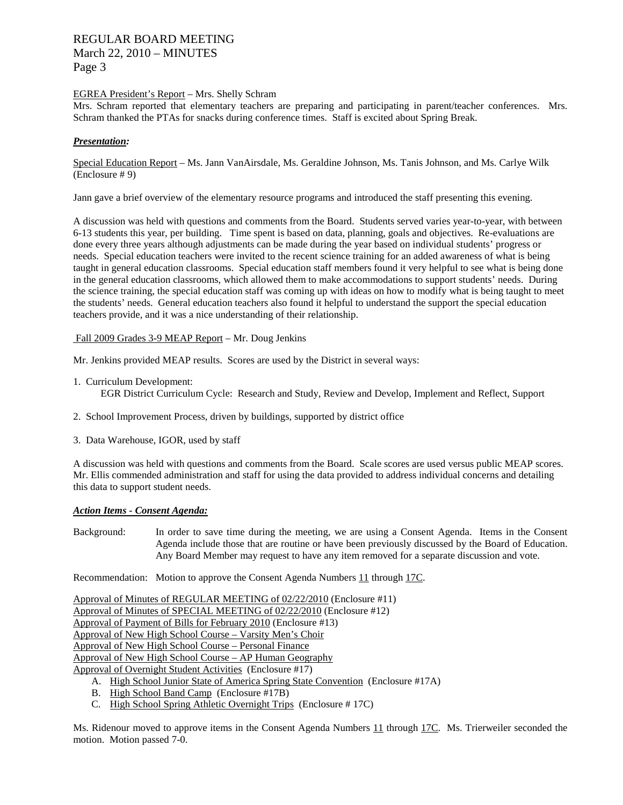# REGULAR BOARD MEETING March 22, 2010 – MINUTES Page 3

#### EGREA President's Report – Mrs. Shelly Schram

Mrs. Schram reported that elementary teachers are preparing and participating in parent/teacher conferences. Mrs. Schram thanked the PTAs for snacks during conference times. Staff is excited about Spring Break.

## *Presentation:*

Special Education Report – Ms. Jann VanAirsdale, Ms. Geraldine Johnson, Ms. Tanis Johnson, and Ms. Carlye Wilk (Enclosure # 9)

Jann gave a brief overview of the elementary resource programs and introduced the staff presenting this evening.

A discussion was held with questions and comments from the Board. Students served varies year-to-year, with between 6-13 students this year, per building. Time spent is based on data, planning, goals and objectives. Re-evaluations are done every three years although adjustments can be made during the year based on individual students' progress or needs. Special education teachers were invited to the recent science training for an added awareness of what is being taught in general education classrooms. Special education staff members found it very helpful to see what is being done in the general education classrooms, which allowed them to make accommodations to support students' needs. During the science training, the special education staff was coming up with ideas on how to modify what is being taught to meet the students' needs. General education teachers also found it helpful to understand the support the special education teachers provide, and it was a nice understanding of their relationship.

## Fall 2009 Grades 3-9 MEAP Report – Mr. Doug Jenkins

Mr. Jenkins provided MEAP results. Scores are used by the District in several ways:

1. Curriculum Development:

EGR District Curriculum Cycle: Research and Study, Review and Develop, Implement and Reflect, Support

- 2. School Improvement Process, driven by buildings, supported by district office
- 3. Data Warehouse, IGOR, used by staff

A discussion was held with questions and comments from the Board. Scale scores are used versus public MEAP scores. Mr. Ellis commended administration and staff for using the data provided to address individual concerns and detailing this data to support student needs.

## *Action Items - Consent Agenda:*

Background: In order to save time during the meeting, we are using a Consent Agenda. Items in the Consent Agenda include those that are routine or have been previously discussed by the Board of Education. Any Board Member may request to have any item removed for a separate discussion and vote.

Recommendation: Motion to approve the Consent Agenda Numbers 11 through 17C.

Approval of Minutes of REGULAR MEETING of 02/22/2010 (Enclosure #11) Approval of Minutes of SPECIAL MEETING of 02/22/2010 (Enclosure #12) Approval of Payment of Bills for February 2010 (Enclosure #13) Approval of New High School Course – Varsity Men's Choir Approval of New High School Course – Personal Finance Approval of New High School Course – AP Human Geography Approval of Overnight Student Activities (Enclosure #17)

- A. High School Junior State of America Spring State Convention (Enclosure #17A)
- B. High School Band Camp (Enclosure #17B)
- C. High School Spring Athletic Overnight Trips (Enclosure # 17C)

Ms. Ridenour moved to approve items in the Consent Agenda Numbers 11 through 17C. Ms. Trierweiler seconded the motion. Motion passed 7-0.